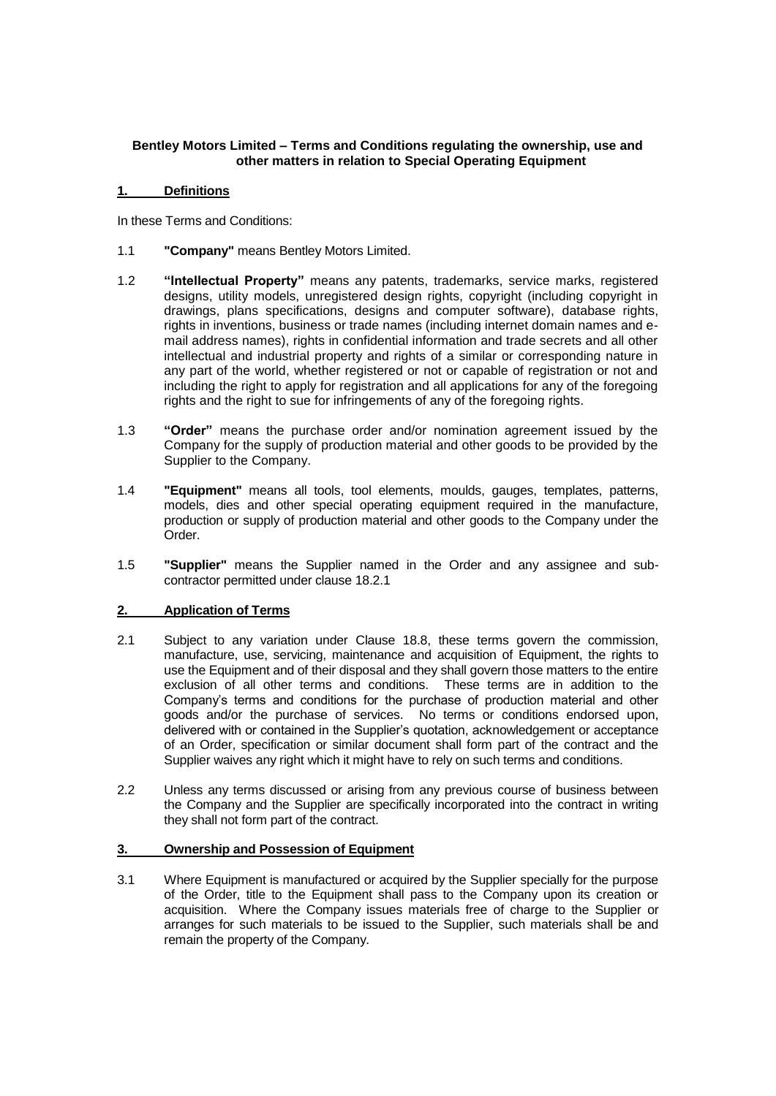# **Bentley Motors Limited – Terms and Conditions regulating the ownership, use and other matters in relation to Special Operating Equipment**

### **1. Definitions**

In these Terms and Conditions:

- 1.1 **"Company"** means Bentley Motors Limited.
- 1.2 **"Intellectual Property"** means any patents, trademarks, service marks, registered designs, utility models, unregistered design rights, copyright (including copyright in drawings, plans specifications, designs and computer software), database rights, rights in inventions, business or trade names (including internet domain names and email address names), rights in confidential information and trade secrets and all other intellectual and industrial property and rights of a similar or corresponding nature in any part of the world, whether registered or not or capable of registration or not and including the right to apply for registration and all applications for any of the foregoing rights and the right to sue for infringements of any of the foregoing rights.
- 1.3 **"Order"** means the purchase order and/or nomination agreement issued by the Company for the supply of production material and other goods to be provided by the Supplier to the Company.
- 1.4 **"Equipment"** means all tools, tool elements, moulds, gauges, templates, patterns, models, dies and other special operating equipment required in the manufacture, production or supply of production material and other goods to the Company under the Order.
- 1.5 **"Supplier"** means the Supplier named in the Order and any assignee and subcontractor permitted under clause 18.2.1

# **2. Application of Terms**

- 2.1 Subject to any variation under Clause 18.8, these terms govern the commission, manufacture, use, servicing, maintenance and acquisition of Equipment, the rights to use the Equipment and of their disposal and they shall govern those matters to the entire exclusion of all other terms and conditions. These terms are in addition to the Company's terms and conditions for the purchase of production material and other goods and/or the purchase of services. No terms or conditions endorsed upon, delivered with or contained in the Supplier's quotation, acknowledgement or acceptance of an Order, specification or similar document shall form part of the contract and the Supplier waives any right which it might have to rely on such terms and conditions.
- 2.2 Unless any terms discussed or arising from any previous course of business between the Company and the Supplier are specifically incorporated into the contract in writing they shall not form part of the contract.

## **3. Ownership and Possession of Equipment**

3.1 Where Equipment is manufactured or acquired by the Supplier specially for the purpose of the Order, title to the Equipment shall pass to the Company upon its creation or acquisition. Where the Company issues materials free of charge to the Supplier or arranges for such materials to be issued to the Supplier, such materials shall be and remain the property of the Company.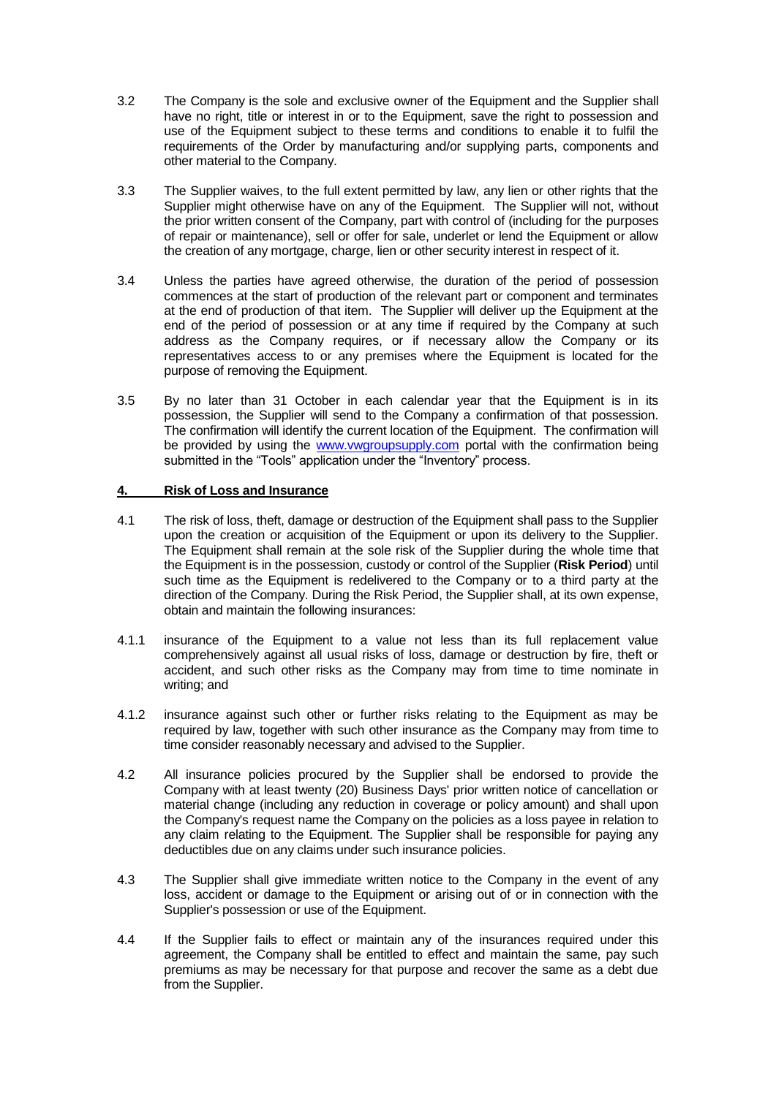- 3.2 The Company is the sole and exclusive owner of the Equipment and the Supplier shall have no right, title or interest in or to the Equipment, save the right to possession and use of the Equipment subject to these terms and conditions to enable it to fulfil the requirements of the Order by manufacturing and/or supplying parts, components and other material to the Company.
- 3.3 The Supplier waives, to the full extent permitted by law, any lien or other rights that the Supplier might otherwise have on any of the Equipment. The Supplier will not, without the prior written consent of the Company, part with control of (including for the purposes of repair or maintenance), sell or offer for sale, underlet or lend the Equipment or allow the creation of any mortgage, charge, lien or other security interest in respect of it.
- 3.4 Unless the parties have agreed otherwise, the duration of the period of possession commences at the start of production of the relevant part or component and terminates at the end of production of that item. The Supplier will deliver up the Equipment at the end of the period of possession or at any time if required by the Company at such address as the Company requires, or if necessary allow the Company or its representatives access to or any premises where the Equipment is located for the purpose of removing the Equipment.
- 3.5 By no later than 31 October in each calendar year that the Equipment is in its possession, the Supplier will send to the Company a confirmation of that possession. The confirmation will identify the current location of the Equipment. The confirmation will be provided by using the [www.vwgroupsupply.com](http://www.vwgroupsupply.com/) portal with the confirmation being submitted in the "Tools" application under the "Inventory" process.

# **4. Risk of Loss and Insurance**

- 4.1 The risk of loss, theft, damage or destruction of the Equipment shall pass to the Supplier upon the creation or acquisition of the Equipment or upon its delivery to the Supplier. The Equipment shall remain at the sole risk of the Supplier during the whole time that the Equipment is in the possession, custody or control of the Supplier (**Risk Period**) until such time as the Equipment is redelivered to the Company or to a third party at the direction of the Company. During the Risk Period, the Supplier shall, at its own expense, obtain and maintain the following insurances:
- 4.1.1 insurance of the Equipment to a value not less than its full replacement value comprehensively against all usual risks of loss, damage or destruction by fire, theft or accident, and such other risks as the Company may from time to time nominate in writing; and
- 4.1.2 insurance against such other or further risks relating to the Equipment as may be required by law, together with such other insurance as the Company may from time to time consider reasonably necessary and advised to the Supplier.
- 4.2 All insurance policies procured by the Supplier shall be endorsed to provide the Company with at least twenty (20) Business Days' prior written notice of cancellation or material change (including any reduction in coverage or policy amount) and shall upon the Company's request name the Company on the policies as a loss payee in relation to any claim relating to the Equipment. The Supplier shall be responsible for paying any deductibles due on any claims under such insurance policies.
- 4.3 The Supplier shall give immediate written notice to the Company in the event of any loss, accident or damage to the Equipment or arising out of or in connection with the Supplier's possession or use of the Equipment.
- 4.4 If the Supplier fails to effect or maintain any of the insurances required under this agreement, the Company shall be entitled to effect and maintain the same, pay such premiums as may be necessary for that purpose and recover the same as a debt due from the Supplier.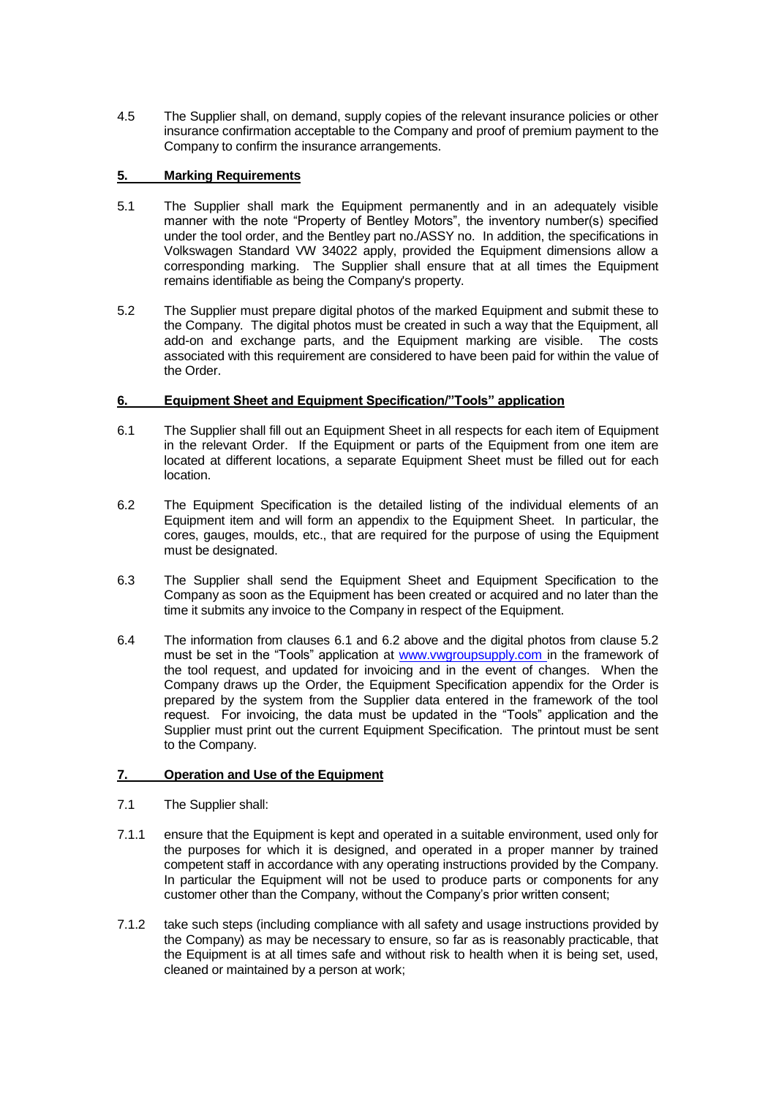4.5 The Supplier shall, on demand, supply copies of the relevant insurance policies or other insurance confirmation acceptable to the Company and proof of premium payment to the Company to confirm the insurance arrangements.

# **5. Marking Requirements**

- 5.1 The Supplier shall mark the Equipment permanently and in an adequately visible manner with the note "Property of Bentley Motors", the inventory number(s) specified under the tool order, and the Bentley part no./ASSY no. In addition, the specifications in Volkswagen Standard VW 34022 apply, provided the Equipment dimensions allow a corresponding marking. The Supplier shall ensure that at all times the Equipment remains identifiable as being the Company's property.
- 5.2 The Supplier must prepare digital photos of the marked Equipment and submit these to the Company. The digital photos must be created in such a way that the Equipment, all add-on and exchange parts, and the Equipment marking are visible. The costs associated with this requirement are considered to have been paid for within the value of the Order.

## **6. Equipment Sheet and Equipment Specification/"Tools" application**

- 6.1 The Supplier shall fill out an Equipment Sheet in all respects for each item of Equipment in the relevant Order. If the Equipment or parts of the Equipment from one item are located at different locations, a separate Equipment Sheet must be filled out for each location.
- 6.2 The Equipment Specification is the detailed listing of the individual elements of an Equipment item and will form an appendix to the Equipment Sheet. In particular, the cores, gauges, moulds, etc., that are required for the purpose of using the Equipment must be designated.
- 6.3 The Supplier shall send the Equipment Sheet and Equipment Specification to the Company as soon as the Equipment has been created or acquired and no later than the time it submits any invoice to the Company in respect of the Equipment.
- 6.4 The information from clauses 6.1 and 6.2 above and the digital photos from clause 5.2 must be set in the "Tools" application at [www.vwgroupsupply.com](http://www.vwgroupsupply.com/) in the framework of the tool request, and updated for invoicing and in the event of changes. When the Company draws up the Order, the Equipment Specification appendix for the Order is prepared by the system from the Supplier data entered in the framework of the tool request. For invoicing, the data must be updated in the "Tools" application and the Supplier must print out the current Equipment Specification. The printout must be sent to the Company.

# **7. Operation and Use of the Equipment**

- 7.1 The Supplier shall:
- 7.1.1 ensure that the Equipment is kept and operated in a suitable environment, used only for the purposes for which it is designed, and operated in a proper manner by trained competent staff in accordance with any operating instructions provided by the Company. In particular the Equipment will not be used to produce parts or components for any customer other than the Company, without the Company's prior written consent;
- 7.1.2 take such steps (including compliance with all safety and usage instructions provided by the Company) as may be necessary to ensure, so far as is reasonably practicable, that the Equipment is at all times safe and without risk to health when it is being set, used, cleaned or maintained by a person at work;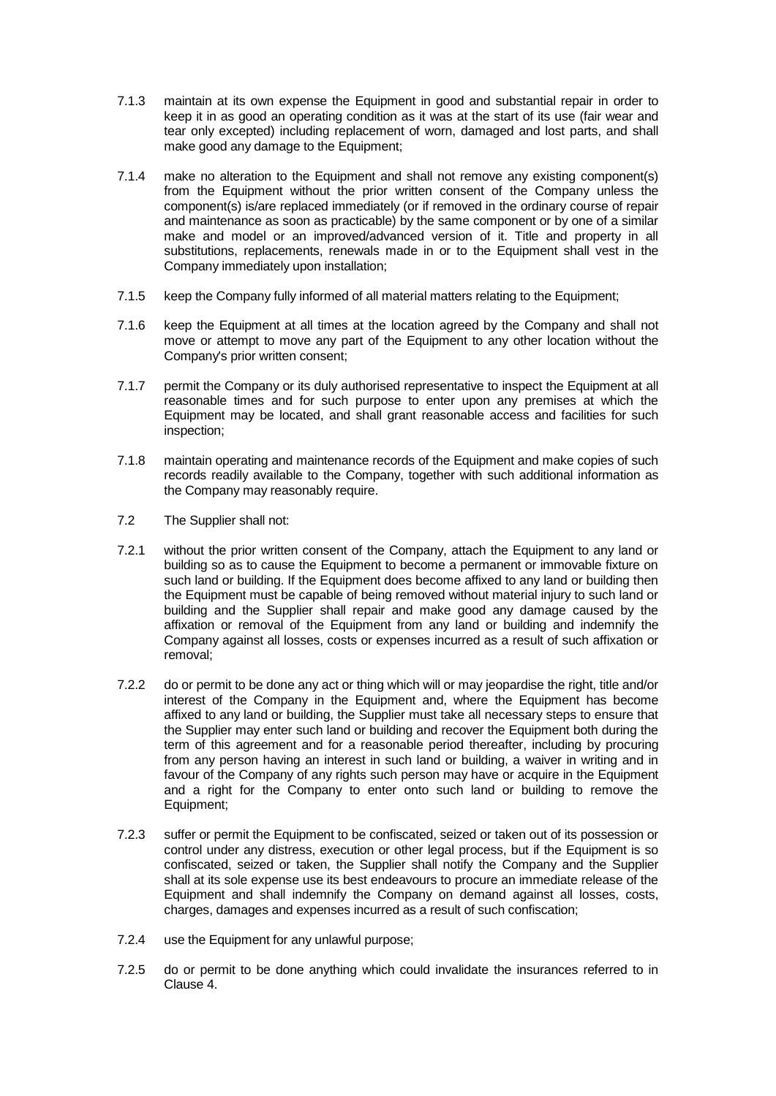- 7.1.3 maintain at its own expense the Equipment in good and substantial repair in order to keep it in as good an operating condition as it was at the start of its use (fair wear and tear only excepted) including replacement of worn, damaged and lost parts, and shall make good any damage to the Equipment;
- 7.1.4 make no alteration to the Equipment and shall not remove any existing component(s) from the Equipment without the prior written consent of the Company unless the component(s) is/are replaced immediately (or if removed in the ordinary course of repair and maintenance as soon as practicable) by the same component or by one of a similar make and model or an improved/advanced version of it. Title and property in all substitutions, replacements, renewals made in or to the Equipment shall vest in the Company immediately upon installation;
- 7.1.5 keep the Company fully informed of all material matters relating to the Equipment;
- 7.1.6 keep the Equipment at all times at the location agreed by the Company and shall not move or attempt to move any part of the Equipment to any other location without the Company's prior written consent;
- 7.1.7 permit the Company or its duly authorised representative to inspect the Equipment at all reasonable times and for such purpose to enter upon any premises at which the Equipment may be located, and shall grant reasonable access and facilities for such inspection;
- 7.1.8 maintain operating and maintenance records of the Equipment and make copies of such records readily available to the Company, together with such additional information as the Company may reasonably require.
- 7.2 The Supplier shall not:
- 7.2.1 without the prior written consent of the Company, attach the Equipment to any land or building so as to cause the Equipment to become a permanent or immovable fixture on such land or building. If the Equipment does become affixed to any land or building then the Equipment must be capable of being removed without material injury to such land or building and the Supplier shall repair and make good any damage caused by the affixation or removal of the Equipment from any land or building and indemnify the Company against all losses, costs or expenses incurred as a result of such affixation or removal;
- 7.2.2 do or permit to be done any act or thing which will or may jeopardise the right, title and/or interest of the Company in the Equipment and, where the Equipment has become affixed to any land or building, the Supplier must take all necessary steps to ensure that the Supplier may enter such land or building and recover the Equipment both during the term of this agreement and for a reasonable period thereafter, including by procuring from any person having an interest in such land or building, a waiver in writing and in favour of the Company of any rights such person may have or acquire in the Equipment and a right for the Company to enter onto such land or building to remove the Equipment;
- 7.2.3 suffer or permit the Equipment to be confiscated, seized or taken out of its possession or control under any distress, execution or other legal process, but if the Equipment is so confiscated, seized or taken, the Supplier shall notify the Company and the Supplier shall at its sole expense use its best endeavours to procure an immediate release of the Equipment and shall indemnify the Company on demand against all losses, costs, charges, damages and expenses incurred as a result of such confiscation;
- 7.2.4 use the Equipment for any unlawful purpose;
- 7.2.5 do or permit to be done anything which could invalidate the insurances referred to in Clause 4.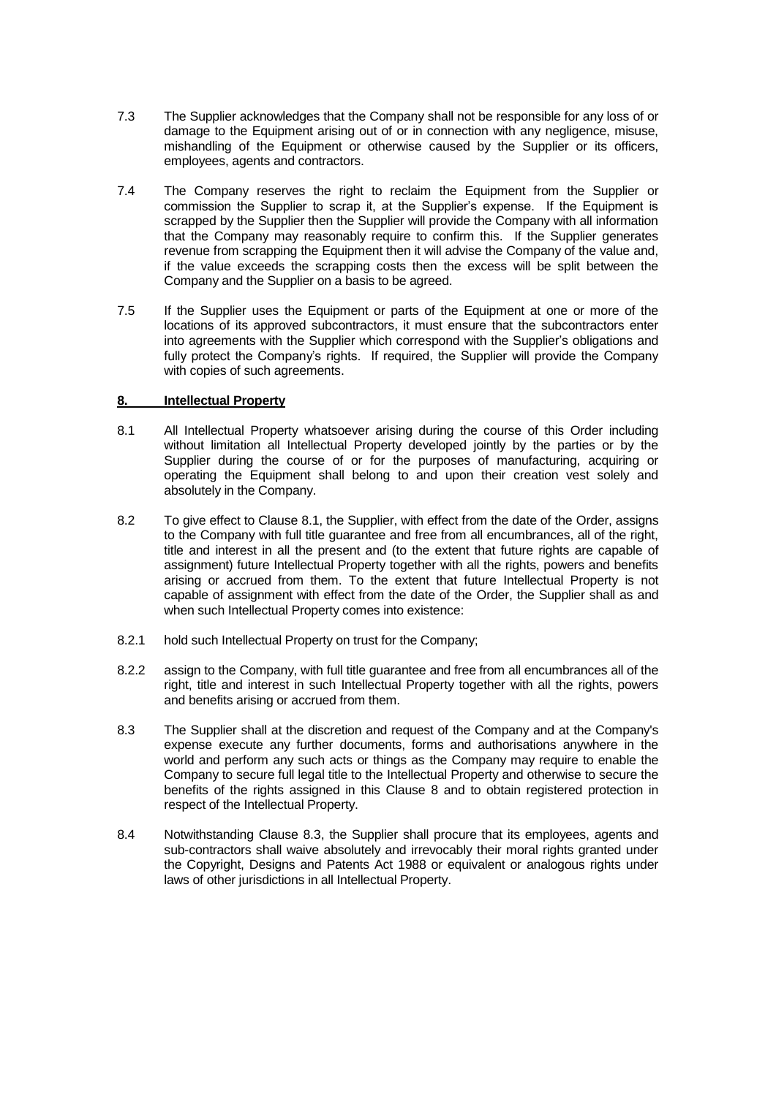- 7.3 The Supplier acknowledges that the Company shall not be responsible for any loss of or damage to the Equipment arising out of or in connection with any negligence, misuse, mishandling of the Equipment or otherwise caused by the Supplier or its officers, employees, agents and contractors.
- 7.4 The Company reserves the right to reclaim the Equipment from the Supplier or commission the Supplier to scrap it, at the Supplier's expense. If the Equipment is scrapped by the Supplier then the Supplier will provide the Company with all information that the Company may reasonably require to confirm this. If the Supplier generates revenue from scrapping the Equipment then it will advise the Company of the value and, if the value exceeds the scrapping costs then the excess will be split between the Company and the Supplier on a basis to be agreed.
- 7.5 If the Supplier uses the Equipment or parts of the Equipment at one or more of the locations of its approved subcontractors, it must ensure that the subcontractors enter into agreements with the Supplier which correspond with the Supplier's obligations and fully protect the Company's rights. If required, the Supplier will provide the Company with copies of such agreements.

# **8. Intellectual Property**

- 8.1 All Intellectual Property whatsoever arising during the course of this Order including without limitation all Intellectual Property developed jointly by the parties or by the Supplier during the course of or for the purposes of manufacturing, acquiring or operating the Equipment shall belong to and upon their creation vest solely and absolutely in the Company.
- 8.2 To give effect to Clause 8.1, the Supplier, with effect from the date of the Order, assigns to the Company with full title guarantee and free from all encumbrances, all of the right, title and interest in all the present and (to the extent that future rights are capable of assignment) future Intellectual Property together with all the rights, powers and benefits arising or accrued from them. To the extent that future Intellectual Property is not capable of assignment with effect from the date of the Order, the Supplier shall as and when such Intellectual Property comes into existence:
- 8.2.1 hold such Intellectual Property on trust for the Company;
- 8.2.2 assign to the Company, with full title guarantee and free from all encumbrances all of the right, title and interest in such Intellectual Property together with all the rights, powers and benefits arising or accrued from them.
- 8.3 The Supplier shall at the discretion and request of the Company and at the Company's expense execute any further documents, forms and authorisations anywhere in the world and perform any such acts or things as the Company may require to enable the Company to secure full legal title to the Intellectual Property and otherwise to secure the benefits of the rights assigned in this Clause 8 and to obtain registered protection in respect of the Intellectual Property.
- 8.4 Notwithstanding Clause 8.3, the Supplier shall procure that its employees, agents and sub-contractors shall waive absolutely and irrevocably their moral rights granted under the Copyright, Designs and Patents Act 1988 or equivalent or analogous rights under laws of other jurisdictions in all Intellectual Property.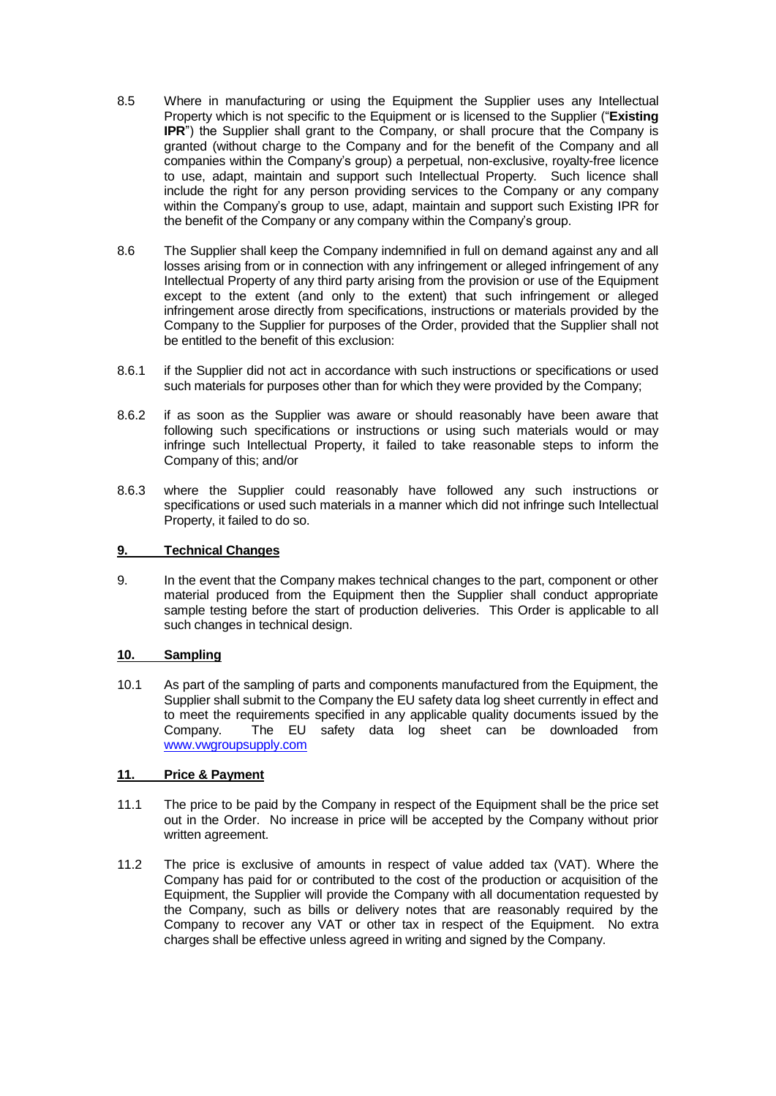- 8.5 Where in manufacturing or using the Equipment the Supplier uses any Intellectual Property which is not specific to the Equipment or is licensed to the Supplier ("**Existing IPR**") the Supplier shall grant to the Company, or shall procure that the Company is granted (without charge to the Company and for the benefit of the Company and all companies within the Company's group) a perpetual, non-exclusive, royalty-free licence to use, adapt, maintain and support such Intellectual Property. Such licence shall include the right for any person providing services to the Company or any company within the Company's group to use, adapt, maintain and support such Existing IPR for the benefit of the Company or any company within the Company's group.
- 8.6 The Supplier shall keep the Company indemnified in full on demand against any and all losses arising from or in connection with any infringement or alleged infringement of any Intellectual Property of any third party arising from the provision or use of the Equipment except to the extent (and only to the extent) that such infringement or alleged infringement arose directly from specifications, instructions or materials provided by the Company to the Supplier for purposes of the Order, provided that the Supplier shall not be entitled to the benefit of this exclusion:
- 8.6.1 if the Supplier did not act in accordance with such instructions or specifications or used such materials for purposes other than for which they were provided by the Company;
- 8.6.2 if as soon as the Supplier was aware or should reasonably have been aware that following such specifications or instructions or using such materials would or may infringe such Intellectual Property, it failed to take reasonable steps to inform the Company of this; and/or
- 8.6.3 where the Supplier could reasonably have followed any such instructions or specifications or used such materials in a manner which did not infringe such Intellectual Property, it failed to do so.

### **9. Technical Changes**

9. In the event that the Company makes technical changes to the part, component or other material produced from the Equipment then the Supplier shall conduct appropriate sample testing before the start of production deliveries. This Order is applicable to all such changes in technical design.

### **10. Sampling**

10.1 As part of the sampling of parts and components manufactured from the Equipment, the Supplier shall submit to the Company the EU safety data log sheet currently in effect and to meet the requirements specified in any applicable quality documents issued by the Company. The EU safety data log sheet can be downloaded from [www.vwgroupsupply.com](http://www.vwgroupsupply.com/)

## **11. Price & Payment**

- 11.1 The price to be paid by the Company in respect of the Equipment shall be the price set out in the Order. No increase in price will be accepted by the Company without prior written agreement.
- 11.2 The price is exclusive of amounts in respect of value added tax (VAT). Where the Company has paid for or contributed to the cost of the production or acquisition of the Equipment, the Supplier will provide the Company with all documentation requested by the Company, such as bills or delivery notes that are reasonably required by the Company to recover any VAT or other tax in respect of the Equipment. No extra charges shall be effective unless agreed in writing and signed by the Company.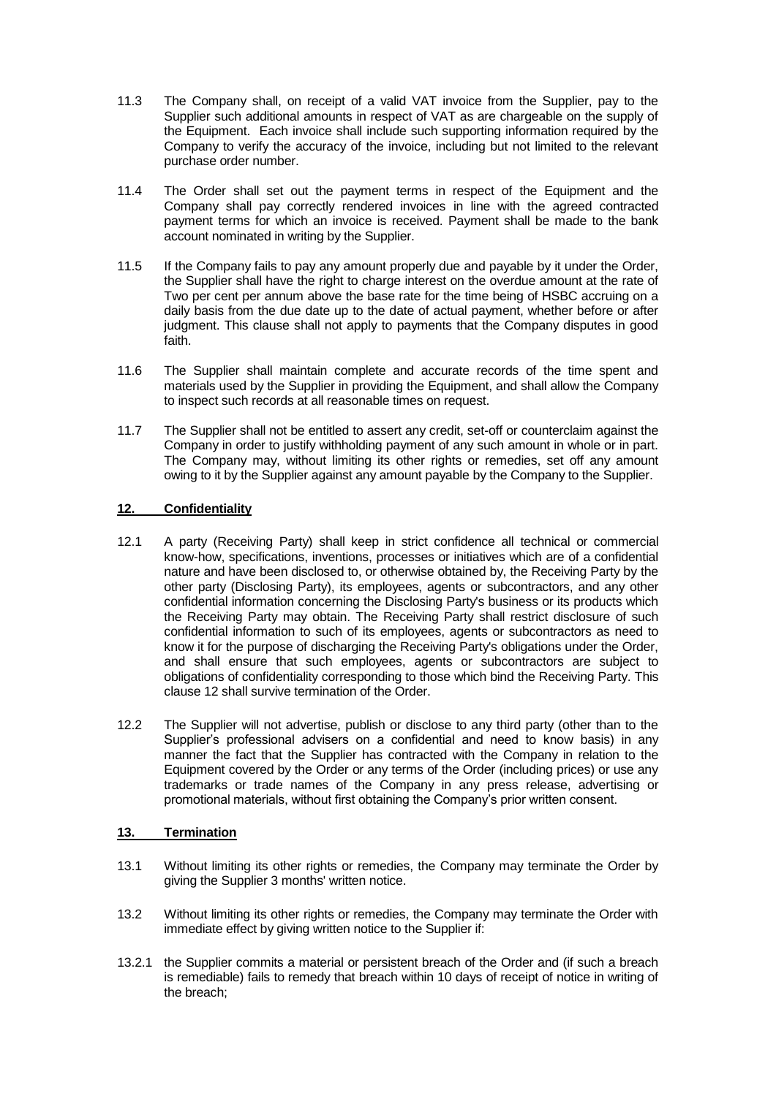- 11.3 The Company shall, on receipt of a valid VAT invoice from the Supplier, pay to the Supplier such additional amounts in respect of VAT as are chargeable on the supply of the Equipment. Each invoice shall include such supporting information required by the Company to verify the accuracy of the invoice, including but not limited to the relevant purchase order number.
- 11.4 The Order shall set out the payment terms in respect of the Equipment and the Company shall pay correctly rendered invoices in line with the agreed contracted payment terms for which an invoice is received. Payment shall be made to the bank account nominated in writing by the Supplier.
- 11.5 If the Company fails to pay any amount properly due and payable by it under the Order, the Supplier shall have the right to charge interest on the overdue amount at the rate of Two per cent per annum above the base rate for the time being of HSBC accruing on a daily basis from the due date up to the date of actual payment, whether before or after judgment. This clause shall not apply to payments that the Company disputes in good faith.
- 11.6 The Supplier shall maintain complete and accurate records of the time spent and materials used by the Supplier in providing the Equipment, and shall allow the Company to inspect such records at all reasonable times on request.
- 11.7 The Supplier shall not be entitled to assert any credit, set-off or counterclaim against the Company in order to justify withholding payment of any such amount in whole or in part. The Company may, without limiting its other rights or remedies, set off any amount owing to it by the Supplier against any amount payable by the Company to the Supplier.

# **12. Confidentiality**

- 12.1 A party (Receiving Party) shall keep in strict confidence all technical or commercial know-how, specifications, inventions, processes or initiatives which are of a confidential nature and have been disclosed to, or otherwise obtained by, the Receiving Party by the other party (Disclosing Party), its employees, agents or subcontractors, and any other confidential information concerning the Disclosing Party's business or its products which the Receiving Party may obtain. The Receiving Party shall restrict disclosure of such confidential information to such of its employees, agents or subcontractors as need to know it for the purpose of discharging the Receiving Party's obligations under the Order, and shall ensure that such employees, agents or subcontractors are subject to obligations of confidentiality corresponding to those which bind the Receiving Party. This clause 12 shall survive termination of the Order.
- 12.2 The Supplier will not advertise, publish or disclose to any third party (other than to the Supplier's professional advisers on a confidential and need to know basis) in any manner the fact that the Supplier has contracted with the Company in relation to the Equipment covered by the Order or any terms of the Order (including prices) or use any trademarks or trade names of the Company in any press release, advertising or promotional materials, without first obtaining the Company's prior written consent.

# **13. Termination**

- 13.1 Without limiting its other rights or remedies, the Company may terminate the Order by giving the Supplier 3 months' written notice.
- 13.2 Without limiting its other rights or remedies, the Company may terminate the Order with immediate effect by giving written notice to the Supplier if:
- 13.2.1 the Supplier commits a material or persistent breach of the Order and (if such a breach is remediable) fails to remedy that breach within 10 days of receipt of notice in writing of the breach;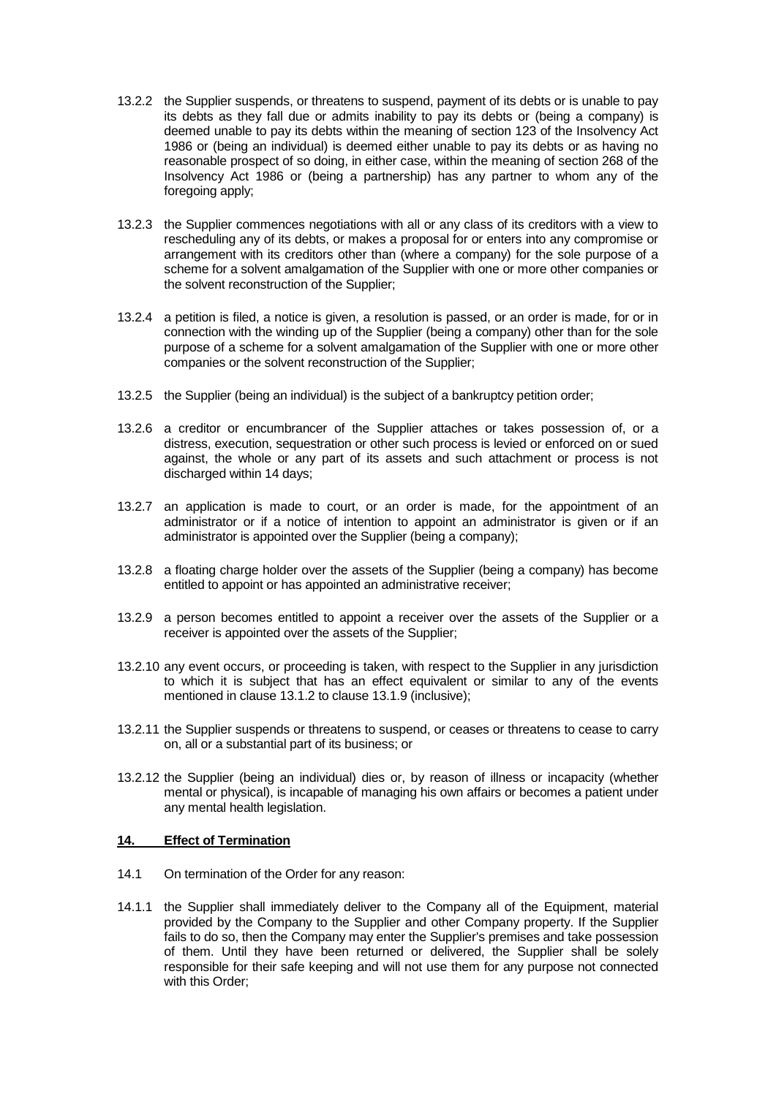- 13.2.2 the Supplier suspends, or threatens to suspend, payment of its debts or is unable to pay its debts as they fall due or admits inability to pay its debts or (being a company) is deemed unable to pay its debts within the meaning of section 123 of the Insolvency Act 1986 or (being an individual) is deemed either unable to pay its debts or as having no reasonable prospect of so doing, in either case, within the meaning of section 268 of the Insolvency Act 1986 or (being a partnership) has any partner to whom any of the foregoing apply;
- 13.2.3 the Supplier commences negotiations with all or any class of its creditors with a view to rescheduling any of its debts, or makes a proposal for or enters into any compromise or arrangement with its creditors other than (where a company) for the sole purpose of a scheme for a solvent amalgamation of the Supplier with one or more other companies or the solvent reconstruction of the Supplier;
- 13.2.4 a petition is filed, a notice is given, a resolution is passed, or an order is made, for or in connection with the winding up of the Supplier (being a company) other than for the sole purpose of a scheme for a solvent amalgamation of the Supplier with one or more other companies or the solvent reconstruction of the Supplier;
- 13.2.5 the Supplier (being an individual) is the subject of a bankruptcy petition order;
- 13.2.6 a creditor or encumbrancer of the Supplier attaches or takes possession of, or a distress, execution, sequestration or other such process is levied or enforced on or sued against, the whole or any part of its assets and such attachment or process is not discharged within 14 days;
- 13.2.7 an application is made to court, or an order is made, for the appointment of an administrator or if a notice of intention to appoint an administrator is given or if an administrator is appointed over the Supplier (being a company);
- 13.2.8 a floating charge holder over the assets of the Supplier (being a company) has become entitled to appoint or has appointed an administrative receiver;
- 13.2.9 a person becomes entitled to appoint a receiver over the assets of the Supplier or a receiver is appointed over the assets of the Supplier;
- 13.2.10 any event occurs, or proceeding is taken, with respect to the Supplier in any jurisdiction to which it is subject that has an effect equivalent or similar to any of the events mentioned in clause 13.1.2 to clause 13.1.9 (inclusive);
- 13.2.11 the Supplier suspends or threatens to suspend, or ceases or threatens to cease to carry on, all or a substantial part of its business; or
- 13.2.12 the Supplier (being an individual) dies or, by reason of illness or incapacity (whether mental or physical), is incapable of managing his own affairs or becomes a patient under any mental health legislation.

### **14. Effect of Termination**

- 14.1 On termination of the Order for any reason:
- 14.1.1 the Supplier shall immediately deliver to the Company all of the Equipment, material provided by the Company to the Supplier and other Company property. If the Supplier fails to do so, then the Company may enter the Supplier's premises and take possession of them. Until they have been returned or delivered, the Supplier shall be solely responsible for their safe keeping and will not use them for any purpose not connected with this Order;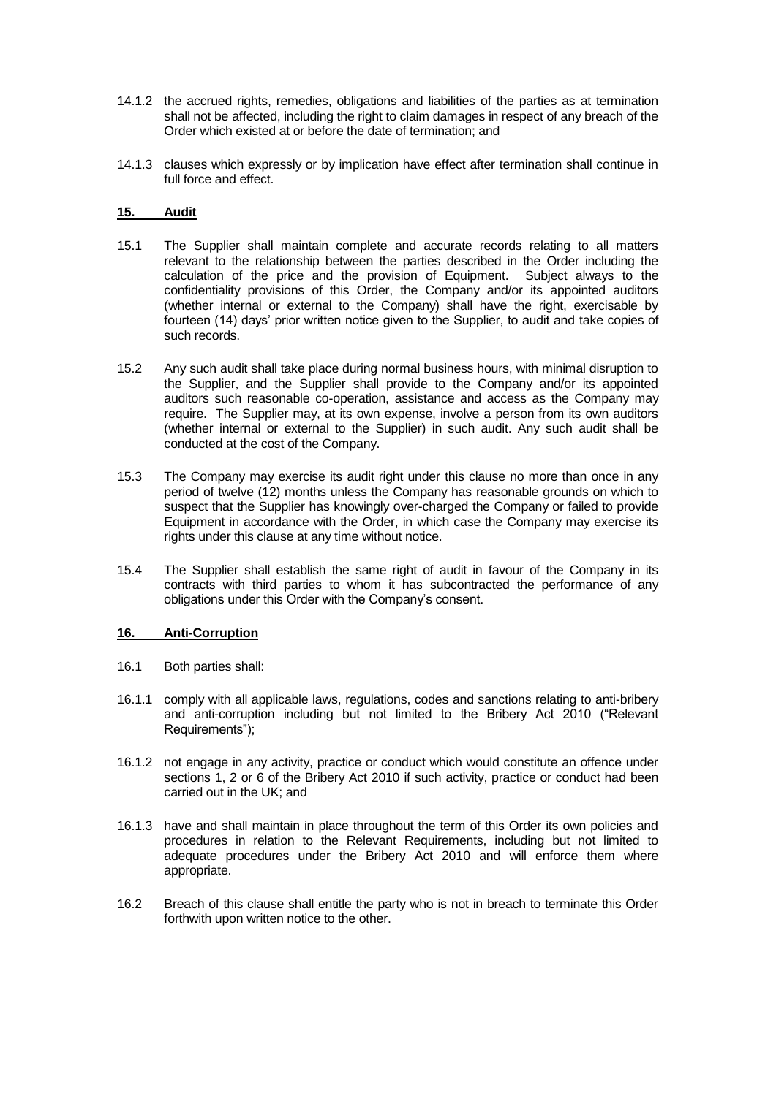- 14.1.2 the accrued rights, remedies, obligations and liabilities of the parties as at termination shall not be affected, including the right to claim damages in respect of any breach of the Order which existed at or before the date of termination; and
- 14.1.3 clauses which expressly or by implication have effect after termination shall continue in full force and effect.

### **15. Audit**

- 15.1 The Supplier shall maintain complete and accurate records relating to all matters relevant to the relationship between the parties described in the Order including the calculation of the price and the provision of Equipment. Subject always to the confidentiality provisions of this Order, the Company and/or its appointed auditors (whether internal or external to the Company) shall have the right, exercisable by fourteen (14) days' prior written notice given to the Supplier, to audit and take copies of such records.
- 15.2 Any such audit shall take place during normal business hours, with minimal disruption to the Supplier, and the Supplier shall provide to the Company and/or its appointed auditors such reasonable co-operation, assistance and access as the Company may require. The Supplier may, at its own expense, involve a person from its own auditors (whether internal or external to the Supplier) in such audit. Any such audit shall be conducted at the cost of the Company.
- 15.3 The Company may exercise its audit right under this clause no more than once in any period of twelve (12) months unless the Company has reasonable grounds on which to suspect that the Supplier has knowingly over-charged the Company or failed to provide Equipment in accordance with the Order, in which case the Company may exercise its rights under this clause at any time without notice.
- 15.4 The Supplier shall establish the same right of audit in favour of the Company in its contracts with third parties to whom it has subcontracted the performance of any obligations under this Order with the Company's consent.

### **16. Anti-Corruption**

- 16.1 Both parties shall:
- 16.1.1 comply with all applicable laws, regulations, codes and sanctions relating to anti-bribery and anti-corruption including but not limited to the Bribery Act 2010 ("Relevant Requirements");
- 16.1.2 not engage in any activity, practice or conduct which would constitute an offence under sections 1, 2 or 6 of the Bribery Act 2010 if such activity, practice or conduct had been carried out in the UK; and
- 16.1.3 have and shall maintain in place throughout the term of this Order its own policies and procedures in relation to the Relevant Requirements, including but not limited to adequate procedures under the Bribery Act 2010 and will enforce them where appropriate.
- 16.2 Breach of this clause shall entitle the party who is not in breach to terminate this Order forthwith upon written notice to the other.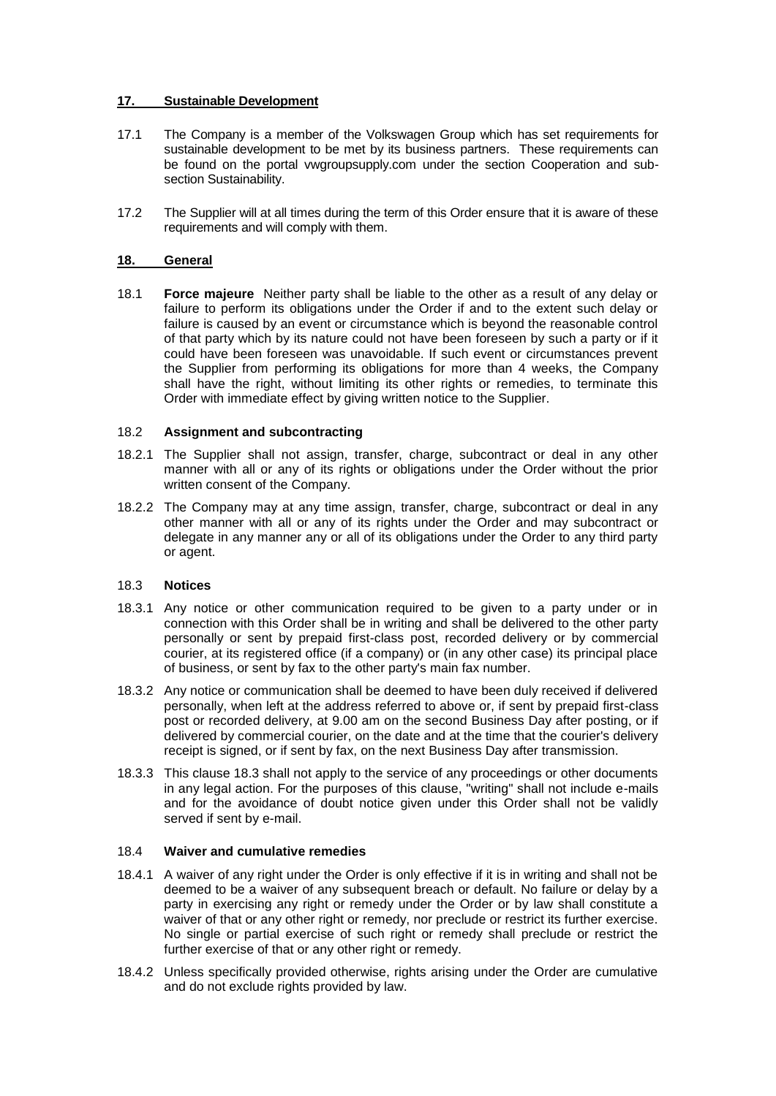## **17. Sustainable Development**

- 17.1 The Company is a member of the Volkswagen Group which has set requirements for sustainable development to be met by its business partners. These requirements can be found on the portal vwgroupsupply.com under the section Cooperation and subsection Sustainability.
- 17.2 The Supplier will at all times during the term of this Order ensure that it is aware of these requirements and will comply with them.

## **18. General**

18.1 **Force majeure** Neither party shall be liable to the other as a result of any delay or failure to perform its obligations under the Order if and to the extent such delay or failure is caused by an event or circumstance which is beyond the reasonable control of that party which by its nature could not have been foreseen by such a party or if it could have been foreseen was unavoidable. If such event or circumstances prevent the Supplier from performing its obligations for more than 4 weeks, the Company shall have the right, without limiting its other rights or remedies, to terminate this Order with immediate effect by giving written notice to the Supplier.

## 18.2 **Assignment and subcontracting**

- 18.2.1 The Supplier shall not assign, transfer, charge, subcontract or deal in any other manner with all or any of its rights or obligations under the Order without the prior written consent of the Company.
- 18.2.2 The Company may at any time assign, transfer, charge, subcontract or deal in any other manner with all or any of its rights under the Order and may subcontract or delegate in any manner any or all of its obligations under the Order to any third party or agent.

### 18.3 **Notices**

- 18.3.1 Any notice or other communication required to be given to a party under or in connection with this Order shall be in writing and shall be delivered to the other party personally or sent by prepaid first-class post, recorded delivery or by commercial courier, at its registered office (if a company) or (in any other case) its principal place of business, or sent by fax to the other party's main fax number.
- 18.3.2 Any notice or communication shall be deemed to have been duly received if delivered personally, when left at the address referred to above or, if sent by prepaid first-class post or recorded delivery, at 9.00 am on the second Business Day after posting, or if delivered by commercial courier, on the date and at the time that the courier's delivery receipt is signed, or if sent by fax, on the next Business Day after transmission.
- 18.3.3 This clause 18.3 shall not apply to the service of any proceedings or other documents in any legal action. For the purposes of this clause, "writing" shall not include e-mails and for the avoidance of doubt notice given under this Order shall not be validly served if sent by e-mail.

### 18.4 **Waiver and cumulative remedies**

- 18.4.1 A waiver of any right under the Order is only effective if it is in writing and shall not be deemed to be a waiver of any subsequent breach or default. No failure or delay by a party in exercising any right or remedy under the Order or by law shall constitute a waiver of that or any other right or remedy, nor preclude or restrict its further exercise. No single or partial exercise of such right or remedy shall preclude or restrict the further exercise of that or any other right or remedy.
- 18.4.2 Unless specifically provided otherwise, rights arising under the Order are cumulative and do not exclude rights provided by law.